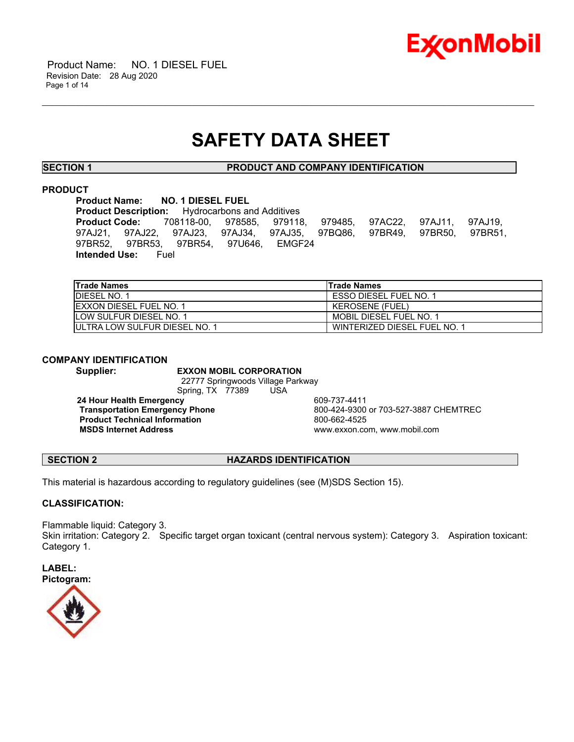

# **SAFETY DATA SHEET**

\_\_\_\_\_\_\_\_\_\_\_\_\_\_\_\_\_\_\_\_\_\_\_\_\_\_\_\_\_\_\_\_\_\_\_\_\_\_\_\_\_\_\_\_\_\_\_\_\_\_\_\_\_\_\_\_\_\_\_\_\_\_\_\_\_\_\_\_\_\_\_\_\_\_\_\_\_\_\_\_\_\_\_\_\_\_\_\_\_\_\_\_\_\_\_\_\_\_\_\_\_\_\_\_\_\_\_\_\_\_\_\_\_\_\_\_\_\_

**SECTION 1 PRODUCT AND COMPANY IDENTIFICATION**

# **PRODUCT**

**Product Name: NO. 1 DIESEL FUEL<br>Product Description:** Hydrocarbons a **Hydrocarbons and Additives Product Code:** 708118-00, 978585, 979118, 979485, 97AC22, 97AJ11, 97AJ19, 97AJ21, 97AJ22, 97AJ23, 97AJ34, 97AJ35, 97BQ86, 97BR49, 97BR50, 97BR51, 97BR52, 97BR53, 97BR54, 97U646, EMGF24 **Intended Use:** Fuel

| <b>Trade Names</b>                    | lTrade Names                  |
|---------------------------------------|-------------------------------|
| <b>IDIESEL NO. 1</b>                  | <b>ESSO DIESEL FUEL NO. 1</b> |
| <b>IEXXON DIESEL FUEL NO. 1</b>       | <b>KEROSENE (FUEL)</b>        |
| <b>ILOW SULFUR DIESEL NO. 1</b>       | MOBIL DIESEL FUEL NO. 1       |
| <b>IULTRA LOW SULFUR DIESEL NO. 1</b> | WINTERIZED DIESEL FUEL NO. 1  |

# **COMPANY IDENTIFICATION**

**Supplier: EXXON MOBIL CORPORATION** 22777 Springwoods Village Parkway Spring, TX 77389 USA

**24 Hour Health Emergency** 609-737-4411 **Product Technical Information**<br> **MSDS Internet Address**<br>
MSDS Internet Address

**Transportation Emergency Phone** 800-424-9300 or 703-527-3887 CHEMTREC  **MSDS Internet Address** www.exxon.com, www.mobil.com

# **SECTION 2 HAZARDS IDENTIFICATION**

This material is hazardous according to regulatory guidelines (see (M)SDS Section 15).

# **CLASSIFICATION:**

Flammable liquid: Category 3. Skin irritation: Category 2. Specific target organ toxicant (central nervous system): Category 3. Aspiration toxicant: Category 1.

**LABEL: Pictogram:**

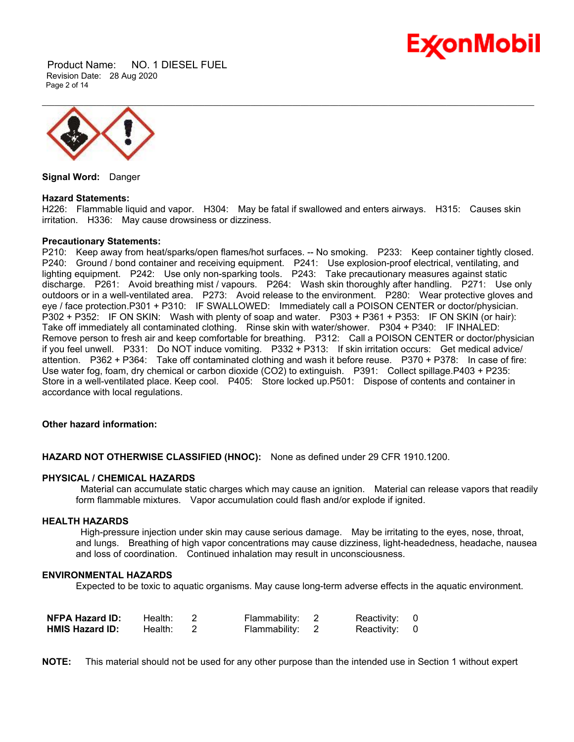

 Product Name: NO. 1 DIESEL FUEL Revision Date: 28 Aug 2020 Page 2 of 14



**Signal Word:** Danger

### **Hazard Statements:**

H226: Flammable liquid and vapor. H304: May be fatal if swallowed and enters airways. H315: Causes skin irritation. H336: May cause drowsiness or dizziness.

### **Precautionary Statements:**

P210: Keep away from heat/sparks/open flames/hot surfaces. -- No smoking. P233: Keep container tightly closed. P240: Ground / bond container and receiving equipment. P241: Use explosion-proof electrical, ventilating, and lighting equipment. P242: Use only non-sparking tools. P243: Take precautionary measures against static discharge. P261: Avoid breathing mist / vapours. P264: Wash skin thoroughly after handling. P271: Use only outdoors or in a well-ventilated area. P273: Avoid release to the environment. P280: Wear protective gloves and eye / face protection.P301 + P310: IF SWALLOWED: Immediately call a POISON CENTER or doctor/physician. P302 + P352: IF ON SKIN: Wash with plenty of soap and water. P303 + P361 + P353: IF ON SKIN (or hair): Take off immediately all contaminated clothing. Rinse skin with water/shower. P304 + P340: IF INHALED: Remove person to fresh air and keep comfortable for breathing. P312: Call a POISON CENTER or doctor/physician if you feel unwell. P331: Do NOT induce vomiting. P332 + P313: If skin irritation occurs: Get medical advice/ attention. P362 + P364: Take off contaminated clothing and wash it before reuse. P370 + P378: In case of fire: Use water fog, foam, dry chemical or carbon dioxide (CO2) to extinguish. P391: Collect spillage.P403 + P235: Store in a well-ventilated place. Keep cool. P405: Store locked up.P501: Dispose of contents and container in accordance with local regulations.

### **Other hazard information:**

**HAZARD NOT OTHERWISE CLASSIFIED (HNOC):** None as defined under 29 CFR 1910.1200.

# **PHYSICAL / CHEMICAL HAZARDS**

 Material can accumulate static charges which may cause an ignition. Material can release vapors that readily form flammable mixtures. Vapor accumulation could flash and/or explode if ignited.

# **HEALTH HAZARDS**

 High-pressure injection under skin may cause serious damage. May be irritating to the eyes, nose, throat, and lungs. Breathing of high vapor concentrations may cause dizziness, light-headedness, headache, nausea and loss of coordination. Continued inhalation may result in unconsciousness.

### **ENVIRONMENTAL HAZARDS**

Expected to be toxic to aquatic organisms. May cause long-term adverse effects in the aquatic environment.

| <b>NFPA Hazard ID:</b> | Health: | Flammability: | Reactivity: 0 |  |
|------------------------|---------|---------------|---------------|--|
| <b>HMIS Hazard ID:</b> | Health: | Flammability: | Reactivity: 0 |  |

**NOTE:** This material should not be used for any other purpose than the intended use in Section 1 without expert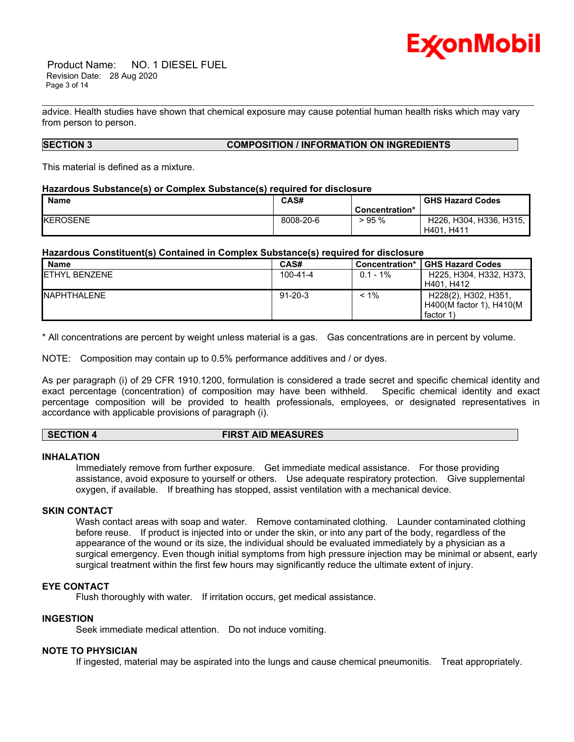

 Product Name: NO. 1 DIESEL FUEL Revision Date: 28 Aug 2020 Page 3 of 14

advice. Health studies have shown that chemical exposure may cause potential human health risks which may vary from person to person.

\_\_\_\_\_\_\_\_\_\_\_\_\_\_\_\_\_\_\_\_\_\_\_\_\_\_\_\_\_\_\_\_\_\_\_\_\_\_\_\_\_\_\_\_\_\_\_\_\_\_\_\_\_\_\_\_\_\_\_\_\_\_\_\_\_\_\_\_\_\_\_\_\_\_\_\_\_\_\_\_\_\_\_\_\_\_\_\_\_\_\_\_\_\_\_\_\_\_\_\_\_\_\_\_\_\_\_\_\_\_\_\_\_\_\_\_\_\_

### **SECTION 3 COMPOSITION / INFORMATION ON INGREDIENTS**

This material is defined as a mixture.

### **Hazardous Substance(s) or Complex Substance(s) required for disclosure**

| <b>Name</b>     | CAS#      |                | <b>GHS Hazard Codes</b>                                                     |
|-----------------|-----------|----------------|-----------------------------------------------------------------------------|
|                 |           | Concentration* |                                                                             |
| <b>KEROSENE</b> | 8008-20-6 | >95%           | H <sub>226</sub> , H <sub>304</sub> , H <sub>336</sub> , H <sub>315</sub> , |
|                 |           |                | H401, H411                                                                  |

# **Hazardous Constituent(s) Contained in Complex Substance(s) required for disclosure**

| <b>Name</b>           | CAS#           | Concentration* | <b>GHS Hazard Codes</b>  |
|-----------------------|----------------|----------------|--------------------------|
| <b>IETHYL BENZENE</b> | $100 - 41 - 4$ | $0.1 - 1\%$    | H225, H304, H332, H373,  |
|                       |                |                | H401. H412               |
| <b>INAPHTHALENE</b>   | $91 - 20 - 3$  | $< 1\%$        | H228(2), H302, H351,     |
|                       |                |                | H400(M factor 1), H410(M |
|                       |                |                | factor $1$               |

\* All concentrations are percent by weight unless material is a gas. Gas concentrations are in percent by volume.

NOTE: Composition may contain up to 0.5% performance additives and / or dyes.

As per paragraph (i) of 29 CFR 1910.1200, formulation is considered a trade secret and specific chemical identity and exact percentage (concentration) of composition may have been withheld. Specific chemical identity and exact percentage composition will be provided to health professionals, employees, or designated representatives in accordance with applicable provisions of paragraph (i).

# **SECTION 4 FIRST AID MEASURES**

### **INHALATION**

Immediately remove from further exposure. Get immediate medical assistance. For those providing assistance, avoid exposure to yourself or others. Use adequate respiratory protection. Give supplemental oxygen, if available. If breathing has stopped, assist ventilation with a mechanical device.

# **SKIN CONTACT**

Wash contact areas with soap and water. Remove contaminated clothing. Launder contaminated clothing before reuse. If product is injected into or under the skin, or into any part of the body, regardless of the appearance of the wound or its size, the individual should be evaluated immediately by a physician as a surgical emergency. Even though initial symptoms from high pressure injection may be minimal or absent, early surgical treatment within the first few hours may significantly reduce the ultimate extent of injury.

# **EYE CONTACT**

Flush thoroughly with water. If irritation occurs, get medical assistance.

# **INGESTION**

Seek immediate medical attention. Do not induce vomiting.

### **NOTE TO PHYSICIAN**

If ingested, material may be aspirated into the lungs and cause chemical pneumonitis. Treat appropriately.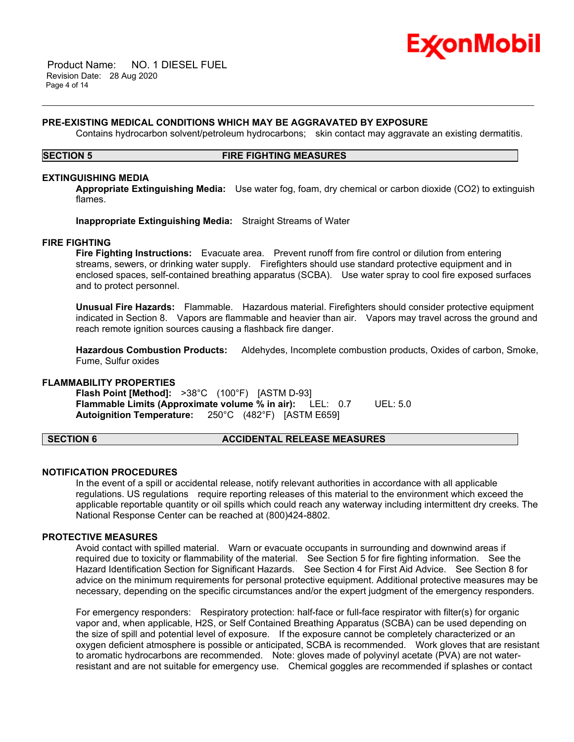

 Product Name: NO. 1 DIESEL FUEL Revision Date: 28 Aug 2020 Page 4 of 14

### **PRE-EXISTING MEDICAL CONDITIONS WHICH MAY BE AGGRAVATED BY EXPOSURE**

Contains hydrocarbon solvent/petroleum hydrocarbons; skin contact may aggravate an existing dermatitis.

### **SECTION 5 FIRE FIGHTING MEASURES**

\_\_\_\_\_\_\_\_\_\_\_\_\_\_\_\_\_\_\_\_\_\_\_\_\_\_\_\_\_\_\_\_\_\_\_\_\_\_\_\_\_\_\_\_\_\_\_\_\_\_\_\_\_\_\_\_\_\_\_\_\_\_\_\_\_\_\_\_\_\_\_\_\_\_\_\_\_\_\_\_\_\_\_\_\_\_\_\_\_\_\_\_\_\_\_\_\_\_\_\_\_\_\_\_\_\_\_\_\_\_\_\_\_\_\_\_\_\_

### **EXTINGUISHING MEDIA**

**Appropriate Extinguishing Media:** Use water fog, foam, dry chemical or carbon dioxide (CO2) to extinguish flames.

**Inappropriate Extinguishing Media:** Straight Streams of Water

### **FIRE FIGHTING**

**Fire Fighting Instructions:** Evacuate area. Prevent runoff from fire control or dilution from entering streams, sewers, or drinking water supply. Firefighters should use standard protective equipment and in enclosed spaces, self-contained breathing apparatus (SCBA). Use water spray to cool fire exposed surfaces and to protect personnel.

**Unusual Fire Hazards:** Flammable. Hazardous material. Firefighters should consider protective equipment indicated in Section 8. Vapors are flammable and heavier than air. Vapors may travel across the ground and reach remote ignition sources causing a flashback fire danger.

**Hazardous Combustion Products:** Aldehydes, Incomplete combustion products, Oxides of carbon, Smoke, Fume, Sulfur oxides

### **FLAMMABILITY PROPERTIES**

**Flash Point [Method]:** >38°C (100°F) [ASTM D-93] **Flammable Limits (Approximate volume % in air):** LEL: 0.7 UEL: 5.0 **Autoignition Temperature:** 250°C (482°F) [ASTM E659]

### **SECTION 6 ACCIDENTAL RELEASE MEASURES**

### **NOTIFICATION PROCEDURES**

In the event of a spill or accidental release, notify relevant authorities in accordance with all applicable regulations. US regulations require reporting releases of this material to the environment which exceed the applicable reportable quantity or oil spills which could reach any waterway including intermittent dry creeks. The National Response Center can be reached at (800)424-8802.

### **PROTECTIVE MEASURES**

Avoid contact with spilled material. Warn or evacuate occupants in surrounding and downwind areas if required due to toxicity or flammability of the material. See Section 5 for fire fighting information. See the Hazard Identification Section for Significant Hazards. See Section 4 for First Aid Advice. See Section 8 for advice on the minimum requirements for personal protective equipment. Additional protective measures may be necessary, depending on the specific circumstances and/or the expert judgment of the emergency responders.

For emergency responders: Respiratory protection: half-face or full-face respirator with filter(s) for organic vapor and, when applicable, H2S, or Self Contained Breathing Apparatus (SCBA) can be used depending on the size of spill and potential level of exposure. If the exposure cannot be completely characterized or an oxygen deficient atmosphere is possible or anticipated, SCBA is recommended. Work gloves that are resistant to aromatic hydrocarbons are recommended. Note: gloves made of polyvinyl acetate (PVA) are not waterresistant and are not suitable for emergency use. Chemical goggles are recommended if splashes or contact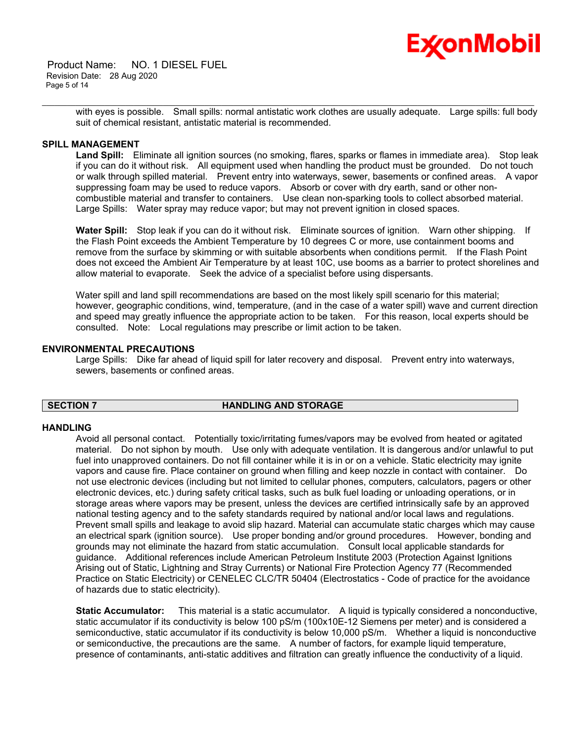Product Name: NO. 1 DIESEL FUEL Revision Date: 28 Aug 2020 Page 5 of 14



\_\_\_\_\_\_\_\_\_\_\_\_\_\_\_\_\_\_\_\_\_\_\_\_\_\_\_\_\_\_\_\_\_\_\_\_\_\_\_\_\_\_\_\_\_\_\_\_\_\_\_\_\_\_\_\_\_\_\_\_\_\_\_\_\_\_\_\_\_\_\_\_\_\_\_\_\_\_\_\_\_\_\_\_\_\_\_\_\_\_\_\_\_\_\_\_\_\_\_\_\_\_\_\_\_\_\_\_\_\_\_\_\_\_\_\_\_\_ with eyes is possible. Small spills: normal antistatic work clothes are usually adequate. Large spills: full body suit of chemical resistant, antistatic material is recommended.

# **SPILL MANAGEMENT**

**Land Spill:** Eliminate all ignition sources (no smoking, flares, sparks or flames in immediate area). Stop leak if you can do it without risk. All equipment used when handling the product must be grounded. Do not touch or walk through spilled material. Prevent entry into waterways, sewer, basements or confined areas. A vapor suppressing foam may be used to reduce vapors. Absorb or cover with dry earth, sand or other noncombustible material and transfer to containers. Use clean non-sparking tools to collect absorbed material. Large Spills: Water spray may reduce vapor; but may not prevent ignition in closed spaces.

**Water Spill:** Stop leak if you can do it without risk. Eliminate sources of ignition. Warn other shipping. If the Flash Point exceeds the Ambient Temperature by 10 degrees C or more, use containment booms and remove from the surface by skimming or with suitable absorbents when conditions permit. If the Flash Point does not exceed the Ambient Air Temperature by at least 10C, use booms as a barrier to protect shorelines and allow material to evaporate. Seek the advice of a specialist before using dispersants.

Water spill and land spill recommendations are based on the most likely spill scenario for this material; however, geographic conditions, wind, temperature, (and in the case of a water spill) wave and current direction and speed may greatly influence the appropriate action to be taken. For this reason, local experts should be consulted. Note: Local regulations may prescribe or limit action to be taken.

### **ENVIRONMENTAL PRECAUTIONS**

Large Spills: Dike far ahead of liquid spill for later recovery and disposal. Prevent entry into waterways, sewers, basements or confined areas.

# **SECTION 7 HANDLING AND STORAGE**

### **HANDLING**

Avoid all personal contact. Potentially toxic/irritating fumes/vapors may be evolved from heated or agitated material. Do not siphon by mouth. Use only with adequate ventilation. It is dangerous and/or unlawful to put fuel into unapproved containers. Do not fill container while it is in or on a vehicle. Static electricity may ignite vapors and cause fire. Place container on ground when filling and keep nozzle in contact with container. Do not use electronic devices (including but not limited to cellular phones, computers, calculators, pagers or other electronic devices, etc.) during safety critical tasks, such as bulk fuel loading or unloading operations, or in storage areas where vapors may be present, unless the devices are certified intrinsically safe by an approved national testing agency and to the safety standards required by national and/or local laws and regulations. Prevent small spills and leakage to avoid slip hazard. Material can accumulate static charges which may cause an electrical spark (ignition source). Use proper bonding and/or ground procedures. However, bonding and grounds may not eliminate the hazard from static accumulation. Consult local applicable standards for guidance. Additional references include American Petroleum Institute 2003 (Protection Against Ignitions Arising out of Static, Lightning and Stray Currents) or National Fire Protection Agency 77 (Recommended Practice on Static Electricity) or CENELEC CLC/TR 50404 (Electrostatics - Code of practice for the avoidance of hazards due to static electricity).

**Static Accumulator:** This material is a static accumulator. A liquid is typically considered a nonconductive, static accumulator if its conductivity is below 100 pS/m (100x10E-12 Siemens per meter) and is considered a semiconductive, static accumulator if its conductivity is below 10,000 pS/m. Whether a liquid is nonconductive or semiconductive, the precautions are the same. A number of factors, for example liquid temperature, presence of contaminants, anti-static additives and filtration can greatly influence the conductivity of a liquid.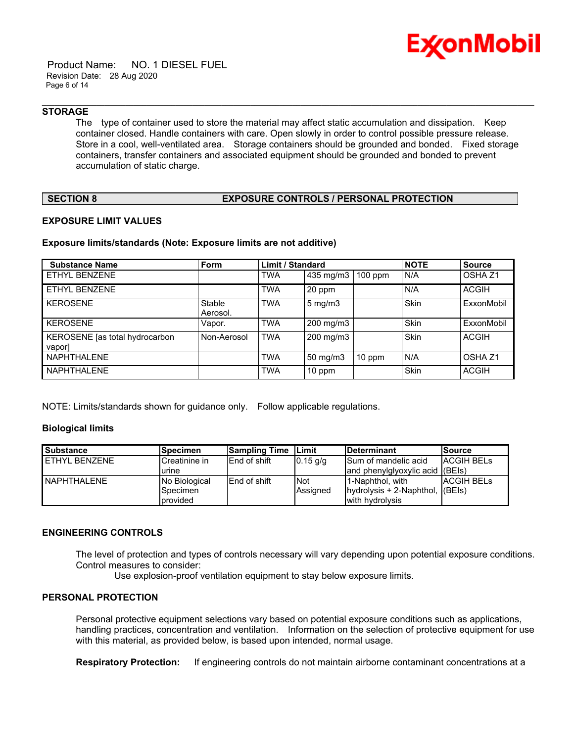

 Product Name: NO. 1 DIESEL FUEL Revision Date: 28 Aug 2020 Page 6 of 14

# **STORAGE**

The type of container used to store the material may affect static accumulation and dissipation. Keep container closed. Handle containers with care. Open slowly in order to control possible pressure release. Store in a cool, well-ventilated area. Storage containers should be grounded and bonded. Fixed storage containers, transfer containers and associated equipment should be grounded and bonded to prevent accumulation of static charge.

\_\_\_\_\_\_\_\_\_\_\_\_\_\_\_\_\_\_\_\_\_\_\_\_\_\_\_\_\_\_\_\_\_\_\_\_\_\_\_\_\_\_\_\_\_\_\_\_\_\_\_\_\_\_\_\_\_\_\_\_\_\_\_\_\_\_\_\_\_\_\_\_\_\_\_\_\_\_\_\_\_\_\_\_\_\_\_\_\_\_\_\_\_\_\_\_\_\_\_\_\_\_\_\_\_\_\_\_\_\_\_\_\_\_\_\_\_\_

# **SECTION 8 EXPOSURE CONTROLS / PERSONAL PROTECTION**

### **EXPOSURE LIMIT VALUES**

### **Exposure limits/standards (Note: Exposure limits are not additive)**

| <b>Substance Name</b>                    | <b>Form</b>        | <b>Limit / Standard</b> |                  |           | <b>NOTE</b> | <b>Source</b>      |
|------------------------------------------|--------------------|-------------------------|------------------|-----------|-------------|--------------------|
| ETHYL BENZENE                            |                    | <b>TWA</b>              | 435 mg/m3        | $100$ ppm | I N/A       | OSHA <sub>Z1</sub> |
| ETHYL BENZENE                            |                    | <b>TWA</b>              | 20 ppm           |           | N/A         | <b>ACGIH</b>       |
| <b>KEROSENE</b>                          | Stable<br>Aerosol. | <b>TWA</b>              | $5 \text{ mg/m}$ |           | Skin        | ExxonMobil         |
| <b>KEROSENE</b>                          | Vapor.             | <b>TWA</b>              | 200 mg/m3        |           | Skin        | ExxonMobil         |
| KEROSENE [as total hydrocarbon<br>vaporl | Non-Aerosol        | <b>TWA</b>              | 200 mg/m3        |           | Skin        | <b>ACGIH</b>       |
| <b>NAPHTHALENE</b>                       |                    | <b>TWA</b>              | $50$ mg/m $3$    | 10 ppm    | N/A         | OSHA <sub>Z1</sub> |
| <b>NAPHTHALENE</b>                       |                    | <b>TWA</b>              | 10 ppm           |           | Skin        | <b>ACGIH</b>       |

NOTE: Limits/standards shown for guidance only. Follow applicable regulations.

### **Biological limits**

| <b>Substance</b> | <b>Specimen</b> | <b>Sampling Time</b> | lLimit.    | <b>IDeterminant</b>      | <b>Source</b>     |
|------------------|-----------------|----------------------|------------|--------------------------|-------------------|
| ETHYL BENZENE    | Creatinine in   | <b>IEnd of shift</b> | $0.15$ g/g | ISum of mandelic acid    | <b>ACGIH BELS</b> |
|                  | urine           |                      |            | and phenylglyoxylic acid | (BE(s))           |
| NAPHTHALENE      | No Biological   | <b>IEnd of shift</b> | <b>Not</b> | l1-Naphthol. with        | <b>ACGIH BELS</b> |
|                  | Specimen        |                      | Assigned   | hydrolysis + 2-Naphthol, | (BE(s))           |
|                  | provided        |                      |            | with hydrolysis          |                   |

# **ENGINEERING CONTROLS**

The level of protection and types of controls necessary will vary depending upon potential exposure conditions. Control measures to consider:

Use explosion-proof ventilation equipment to stay below exposure limits.

# **PERSONAL PROTECTION**

Personal protective equipment selections vary based on potential exposure conditions such as applications, handling practices, concentration and ventilation. Information on the selection of protective equipment for use with this material, as provided below, is based upon intended, normal usage.

**Respiratory Protection:** If engineering controls do not maintain airborne contaminant concentrations at a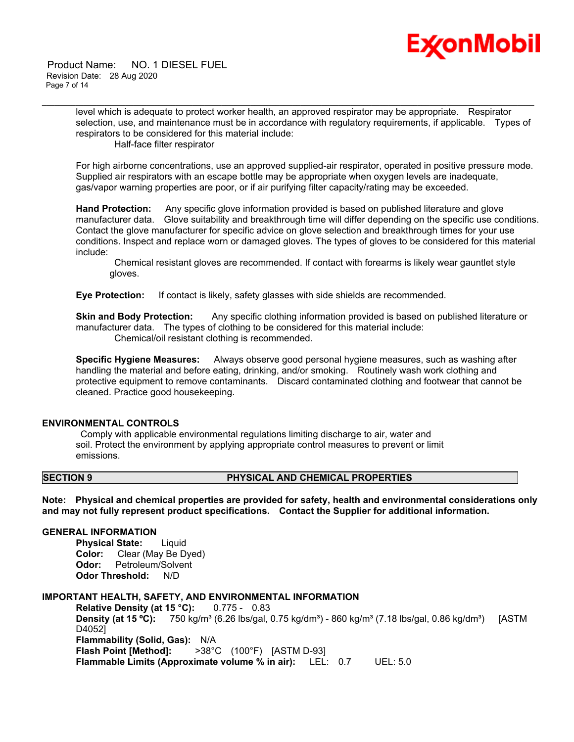

 Product Name: NO. 1 DIESEL FUEL Revision Date: 28 Aug 2020 Page 7 of 14

> level which is adequate to protect worker health, an approved respirator may be appropriate. Respirator selection, use, and maintenance must be in accordance with regulatory requirements, if applicable. Types of respirators to be considered for this material include:

\_\_\_\_\_\_\_\_\_\_\_\_\_\_\_\_\_\_\_\_\_\_\_\_\_\_\_\_\_\_\_\_\_\_\_\_\_\_\_\_\_\_\_\_\_\_\_\_\_\_\_\_\_\_\_\_\_\_\_\_\_\_\_\_\_\_\_\_\_\_\_\_\_\_\_\_\_\_\_\_\_\_\_\_\_\_\_\_\_\_\_\_\_\_\_\_\_\_\_\_\_\_\_\_\_\_\_\_\_\_\_\_\_\_\_\_\_\_

Half-face filter respirator

For high airborne concentrations, use an approved supplied-air respirator, operated in positive pressure mode. Supplied air respirators with an escape bottle may be appropriate when oxygen levels are inadequate, gas/vapor warning properties are poor, or if air purifying filter capacity/rating may be exceeded.

**Hand Protection:** Any specific glove information provided is based on published literature and glove manufacturer data. Glove suitability and breakthrough time will differ depending on the specific use conditions. Contact the glove manufacturer for specific advice on glove selection and breakthrough times for your use conditions. Inspect and replace worn or damaged gloves. The types of gloves to be considered for this material include:

 Chemical resistant gloves are recommended. If contact with forearms is likely wear gauntlet style gloves.

**Eye Protection:** If contact is likely, safety glasses with side shields are recommended.

**Skin and Body Protection:** Any specific clothing information provided is based on published literature or manufacturer data. The types of clothing to be considered for this material include: Chemical/oil resistant clothing is recommended.

**Specific Hygiene Measures:** Always observe good personal hygiene measures, such as washing after handling the material and before eating, drinking, and/or smoking. Routinely wash work clothing and protective equipment to remove contaminants. Discard contaminated clothing and footwear that cannot be cleaned. Practice good housekeeping.

# **ENVIRONMENTAL CONTROLS**

 Comply with applicable environmental regulations limiting discharge to air, water and soil. Protect the environment by applying appropriate control measures to prevent or limit emissions.

# **SECTION 9 PHYSICAL AND CHEMICAL PROPERTIES**

**Note: Physical and chemical properties are provided for safety, health and environmental considerations only and may not fully represent product specifications. Contact the Supplier for additional information.**

### **GENERAL INFORMATION**

**Physical State:** Liquid **Color:** Clear (May Be Dyed) **Odor:** Petroleum/Solvent **Odor Threshold:** N/D

# **IMPORTANT HEALTH, SAFETY, AND ENVIRONMENTAL INFORMATION**

**Relative Density (at 15 °C):** 0.775 - 0.83 **Density (at 15 °C):** 750 kg/m<sup>3</sup> (6.26 lbs/gal, 0.75 kg/dm<sup>3</sup>) - 860 kg/m<sup>3</sup> (7.18 lbs/gal, 0.86 kg/dm<sup>3</sup>) [ASTM D4052] **Flammability (Solid, Gas):** N/A **Flash Point [Method]:** >38°C (100°F) [ASTM D-93] **Flammable Limits (Approximate volume % in air):** LEL: 0.7 UEL: 5.0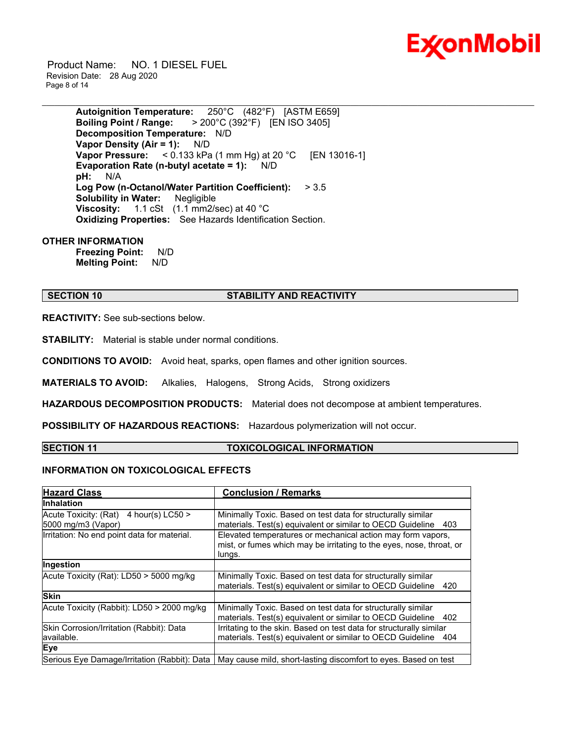

 Product Name: NO. 1 DIESEL FUEL Revision Date: 28 Aug 2020 Page 8 of 14

> **Autoignition Temperature:** 250°C (482°F) [ASTM E659] **Boiling Point / Range:** > 200°C (392°F) [EN ISO 3405] **Decomposition Temperature:** N/D **Vapor Density (Air = 1):** N/D **Vapor Pressure:** < 0.133 kPa (1 mm Hg) at 20 °C [EN 13016-1] **Evaporation Rate (n-butyl acetate = 1):** N/D **pH:** N/A **Log Pow (n-Octanol/Water Partition Coefficient):** > 3.5 **Solubility in Water:** Negligible **Viscosity:** 1.1 cSt (1.1 mm2/sec) at 40 °C **Oxidizing Properties:** See Hazards Identification Section.

### **OTHER INFORMATION**

**Freezing Point:** N/D **Melting Point:** N/D

### **SECTION 10 STABILITY AND REACTIVITY**

\_\_\_\_\_\_\_\_\_\_\_\_\_\_\_\_\_\_\_\_\_\_\_\_\_\_\_\_\_\_\_\_\_\_\_\_\_\_\_\_\_\_\_\_\_\_\_\_\_\_\_\_\_\_\_\_\_\_\_\_\_\_\_\_\_\_\_\_\_\_\_\_\_\_\_\_\_\_\_\_\_\_\_\_\_\_\_\_\_\_\_\_\_\_\_\_\_\_\_\_\_\_\_\_\_\_\_\_\_\_\_\_\_\_\_\_\_\_

**REACTIVITY:** See sub-sections below.

**STABILITY:** Material is stable under normal conditions.

**CONDITIONS TO AVOID:** Avoid heat, sparks, open flames and other ignition sources.

**MATERIALS TO AVOID:** Alkalies, Halogens, Strong Acids, Strong oxidizers

**HAZARDOUS DECOMPOSITION PRODUCTS:** Material does not decompose at ambient temperatures.

**POSSIBILITY OF HAZARDOUS REACTIONS:** Hazardous polymerization will not occur.

### **SECTION 11 TOXICOLOGICAL INFORMATION**

# **INFORMATION ON TOXICOLOGICAL EFFECTS**

| <b>Hazard Class</b>                                               | <b>Conclusion / Remarks</b>                                                                                                                   |
|-------------------------------------------------------------------|-----------------------------------------------------------------------------------------------------------------------------------------------|
| <b>Inhalation</b>                                                 |                                                                                                                                               |
| Acute Toxicity: (Rat)<br>4 hour(s) $LC50 >$<br>5000 mg/m3 (Vapor) | Minimally Toxic. Based on test data for structurally similar<br>materials. Test(s) equivalent or similar to OECD Guideline<br>403             |
| Irritation: No end point data for material.                       | Elevated temperatures or mechanical action may form vapors,<br>mist, or fumes which may be irritating to the eyes, nose, throat, or<br>lungs. |
| Ingestion                                                         |                                                                                                                                               |
| Acute Toxicity (Rat): LD50 > 5000 mg/kg                           | Minimally Toxic. Based on test data for structurally similar<br>materials. Test(s) equivalent or similar to OECD Guideline<br>420             |
| <b>Skin</b>                                                       |                                                                                                                                               |
| Acute Toxicity (Rabbit): LD50 > 2000 mg/kg                        | Minimally Toxic. Based on test data for structurally similar<br>materials. Test(s) equivalent or similar to OECD Guideline<br>402             |
| Skin Corrosion/Irritation (Rabbit): Data<br>available.            | Irritating to the skin. Based on test data for structurally similar<br>materials. Test(s) equivalent or similar to OECD Guideline<br>404      |
| Eye                                                               |                                                                                                                                               |
|                                                                   | Serious Eye Damage/Irritation (Rabbit): Data   May cause mild, short-lasting discomfort to eyes. Based on test                                |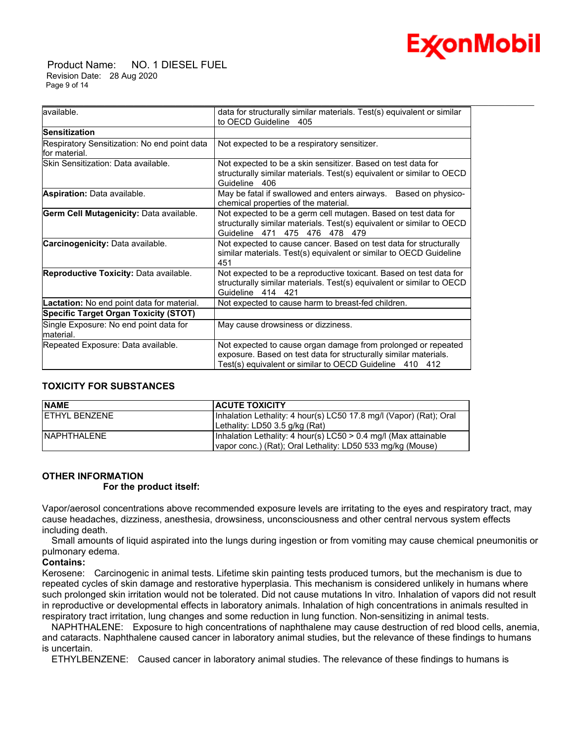

 Product Name: NO. 1 DIESEL FUEL Revision Date: 28 Aug 2020 Page 9 of 14

| available.                                                    | data for structurally similar materials. Test(s) equivalent or similar<br>to OECD Guideline<br>405                                                                                           |
|---------------------------------------------------------------|----------------------------------------------------------------------------------------------------------------------------------------------------------------------------------------------|
| <b>Sensitization</b>                                          |                                                                                                                                                                                              |
| Respiratory Sensitization: No end point data<br>for material. | Not expected to be a respiratory sensitizer.                                                                                                                                                 |
| Skin Sensitization: Data available.                           | Not expected to be a skin sensitizer. Based on test data for<br>structurally similar materials. Test(s) equivalent or similar to OECD<br>Guideline 406                                       |
| Aspiration: Data available.                                   | May be fatal if swallowed and enters airways.<br>Based on physico-<br>chemical properties of the material.                                                                                   |
| Germ Cell Mutagenicity: Data available.                       | Not expected to be a germ cell mutagen. Based on test data for<br>structurally similar materials. Test(s) equivalent or similar to OECD<br>Guideline 471 475 476 478 479                     |
| Carcinogenicity: Data available.                              | Not expected to cause cancer. Based on test data for structurally<br>similar materials. Test(s) equivalent or similar to OECD Guideline<br>451                                               |
| Reproductive Toxicity: Data available.                        | Not expected to be a reproductive toxicant. Based on test data for<br>structurally similar materials. Test(s) equivalent or similar to OECD<br>Guideline 414 421                             |
| Lactation: No end point data for material.                    | Not expected to cause harm to breast-fed children.                                                                                                                                           |
| <b>Specific Target Organ Toxicity (STOT)</b>                  |                                                                                                                                                                                              |
| Single Exposure: No end point data for<br>material.           | May cause drowsiness or dizziness.                                                                                                                                                           |
| Repeated Exposure: Data available.                            | Not expected to cause organ damage from prolonged or repeated<br>exposure. Based on test data for structurally similar materials.<br>Test(s) equivalent or similar to OECD Guideline 410 412 |

# **TOXICITY FOR SUBSTANCES**

| <b>NAME</b>          | <b>ACUTE TOXICITY</b>                                              |
|----------------------|--------------------------------------------------------------------|
| <b>FTHYL BENZENE</b> | Inhalation Lethality: 4 hour(s) LC50 17.8 mg/l (Vapor) (Rat): Oral |
|                      | Lethality: LD50 3.5 g/kg (Rat)                                     |
| <b>INAPHTHALENE</b>  | Inhalation Lethality: 4 hour(s) LC50 > 0.4 mg/l (Max attainable    |
|                      | vapor conc.) (Rat); Oral Lethality: LD50 533 mg/kg (Mouse)         |

# **OTHER INFORMATION**

### **For the product itself:**

Vapor/aerosol concentrations above recommended exposure levels are irritating to the eyes and respiratory tract, may cause headaches, dizziness, anesthesia, drowsiness, unconsciousness and other central nervous system effects including death.

 Small amounts of liquid aspirated into the lungs during ingestion or from vomiting may cause chemical pneumonitis or pulmonary edema.

# **Contains:**

Kerosene: Carcinogenic in animal tests. Lifetime skin painting tests produced tumors, but the mechanism is due to repeated cycles of skin damage and restorative hyperplasia. This mechanism is considered unlikely in humans where such prolonged skin irritation would not be tolerated. Did not cause mutations In vitro. Inhalation of vapors did not result in reproductive or developmental effects in laboratory animals. Inhalation of high concentrations in animals resulted in respiratory tract irritation, lung changes and some reduction in lung function. Non-sensitizing in animal tests.

 NAPHTHALENE: Exposure to high concentrations of naphthalene may cause destruction of red blood cells, anemia, and cataracts. Naphthalene caused cancer in laboratory animal studies, but the relevance of these findings to humans is uncertain.

ETHYLBENZENE: Caused cancer in laboratory animal studies. The relevance of these findings to humans is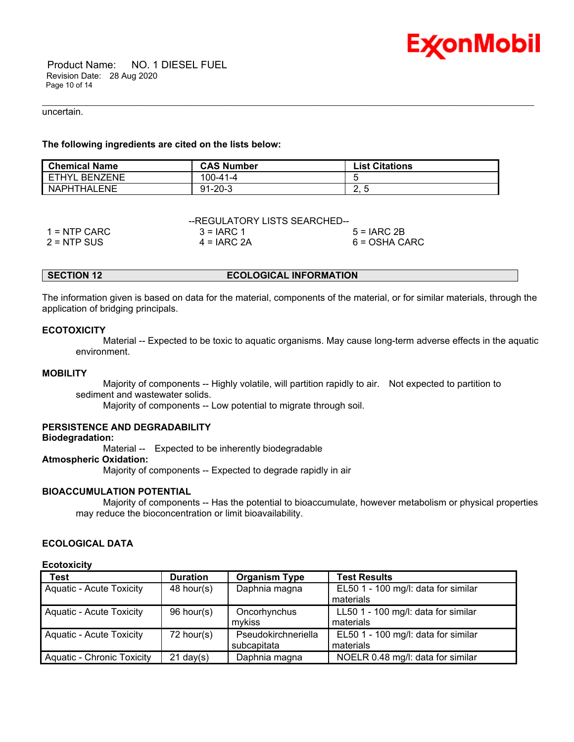

 Product Name: NO. 1 DIESEL FUEL Revision Date: 28 Aug 2020 Page 10 of 14

### uncertain.

# **The following ingredients are cited on the lists below:**

| <b>Chemical Name</b>    | <b>CAS Number</b> | <b>List Citations</b> |
|-------------------------|-------------------|-----------------------|
| FTHYL<br><b>BENZENE</b> | 100-41-4          |                       |
| NAPHTHALENE             | $91 - 20 - 3$     | C.                    |

\_\_\_\_\_\_\_\_\_\_\_\_\_\_\_\_\_\_\_\_\_\_\_\_\_\_\_\_\_\_\_\_\_\_\_\_\_\_\_\_\_\_\_\_\_\_\_\_\_\_\_\_\_\_\_\_\_\_\_\_\_\_\_\_\_\_\_\_\_\_\_\_\_\_\_\_\_\_\_\_\_\_\_\_\_\_\_\_\_\_\_\_\_\_\_\_\_\_\_\_\_\_\_\_\_\_\_\_\_\_\_\_\_\_\_\_\_\_

| --REGULATORY LISTS SEARCHED-- |               |               |  |
|-------------------------------|---------------|---------------|--|
| $1 =$ NTP CARC                | $3 = IARC 1$  | $5 = IARC2B$  |  |
| 2 = NTP SUS                   | $4 = IARC 2A$ | 6 = OSHA CARC |  |

### **SECTION 12 ECOLOGICAL INFORMATION**

The information given is based on data for the material, components of the material, or for similar materials, through the application of bridging principals.

### **ECOTOXICITY**

 Material -- Expected to be toxic to aquatic organisms. May cause long-term adverse effects in the aquatic environment.

### **MOBILITY**

 Majority of components -- Highly volatile, will partition rapidly to air. Not expected to partition to sediment and wastewater solids.

Majority of components -- Low potential to migrate through soil.

# **PERSISTENCE AND DEGRADABILITY**

# **Biodegradation:**

Material -- Expected to be inherently biodegradable

### **Atmospheric Oxidation:**

Majority of components -- Expected to degrade rapidly in air

### **BIOACCUMULATION POTENTIAL**

 Majority of components -- Has the potential to bioaccumulate, however metabolism or physical properties may reduce the bioconcentration or limit bioavailability.

# **ECOLOGICAL DATA**

### **Ecotoxicity**

| <b>Test</b>                | <b>Duration</b>     | <b>Organism Type</b> | <b>Test Results</b>                 |
|----------------------------|---------------------|----------------------|-------------------------------------|
| Aquatic - Acute Toxicity   | $48$ hour(s)        | Daphnia magna        | EL50 1 - 100 mg/l: data for similar |
|                            |                     |                      | materials                           |
| Aquatic - Acute Toxicity   | 96 hour(s)          | Oncorhynchus         | LL50 1 - 100 mg/l: data for similar |
|                            |                     | mykiss               | materials                           |
| Aquatic - Acute Toxicity   | $72$ hour(s)        | Pseudokirchneriella  | EL50 1 - 100 mg/l: data for similar |
|                            |                     | subcapitata          | materials                           |
| Aquatic - Chronic Toxicity | $21 \text{ day}(s)$ | Daphnia magna        | NOELR 0.48 mg/l: data for similar   |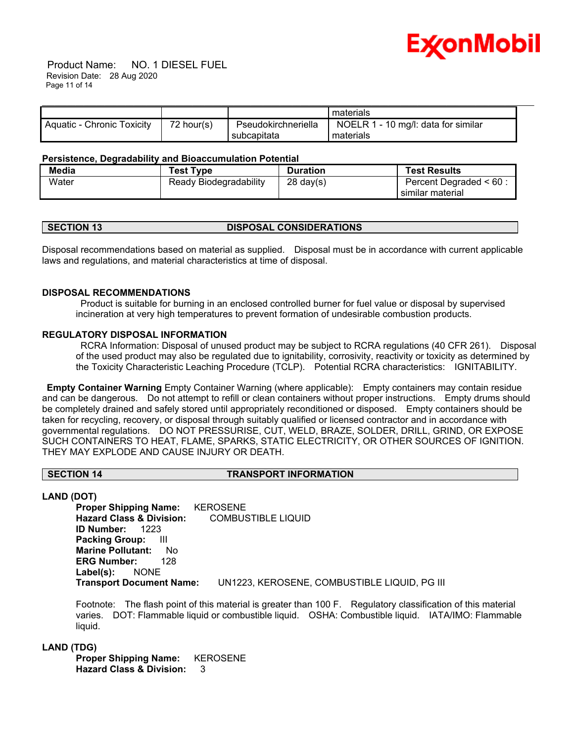

 Product Name: NO. 1 DIESEL FUEL Revision Date: 28 Aug 2020 Page 11 of 14

|                            |              |                                    | materials                                        |  |
|----------------------------|--------------|------------------------------------|--------------------------------------------------|--|
| Aquatic - Chronic Toxicity | $72$ hour(s) | Pseudokirchneriella<br>subcapitata | NOELR 1 - 10 mg/l: data for similar<br>materials |  |

### **Persistence, Degradability and Bioaccumulation Potential**

| Media | <b>Test Type</b>       | <b>Duration</b>     | <b>Test Results</b>       |
|-------|------------------------|---------------------|---------------------------|
| Water | Ready Biodegradability | $28 \text{ day}(s)$ | Percent Degraded $< 60$ : |
|       |                        |                     | similar material          |

# **SECTION 13 DISPOSAL CONSIDERATIONS**

Disposal recommendations based on material as supplied. Disposal must be in accordance with current applicable laws and regulations, and material characteristics at time of disposal.

### **DISPOSAL RECOMMENDATIONS**

 Product is suitable for burning in an enclosed controlled burner for fuel value or disposal by supervised incineration at very high temperatures to prevent formation of undesirable combustion products.

### **REGULATORY DISPOSAL INFORMATION**

 RCRA Information: Disposal of unused product may be subject to RCRA regulations (40 CFR 261). Disposal of the used product may also be regulated due to ignitability, corrosivity, reactivity or toxicity as determined by the Toxicity Characteristic Leaching Procedure (TCLP). Potential RCRA characteristics: IGNITABILITY.

**Empty Container Warning** Empty Container Warning (where applicable): Empty containers may contain residue and can be dangerous. Do not attempt to refill or clean containers without proper instructions. Empty drums should be completely drained and safely stored until appropriately reconditioned or disposed. Empty containers should be taken for recycling, recovery, or disposal through suitably qualified or licensed contractor and in accordance with governmental regulations. DO NOT PRESSURISE, CUT, WELD, BRAZE, SOLDER, DRILL, GRIND, OR EXPOSE SUCH CONTAINERS TO HEAT, FLAME, SPARKS, STATIC ELECTRICITY, OR OTHER SOURCES OF IGNITION. THEY MAY EXPLODE AND CAUSE INJURY OR DEATH.

### **SECTION 14 TRANSPORT INFORMATION**

### **LAND (DOT)**

**Proper Shipping Name:** KEROSENE **Hazard Class & Division:** COMBUSTIBLE LIQUID **ID Number:** 1223 **Packing Group:** III **Marine Pollutant:** No **ERG Number:** 128 **Label(s):** NONE **Transport Document Name:** UN1223, KEROSENE, COMBUSTIBLE LIQUID, PG III

Footnote: The flash point of this material is greater than 100 F. Regulatory classification of this material varies. DOT: Flammable liquid or combustible liquid. OSHA: Combustible liquid. IATA/IMO: Flammable liquid.

# **LAND (TDG)**

**Proper Shipping Name:** KEROSENE **Hazard Class & Division:** 3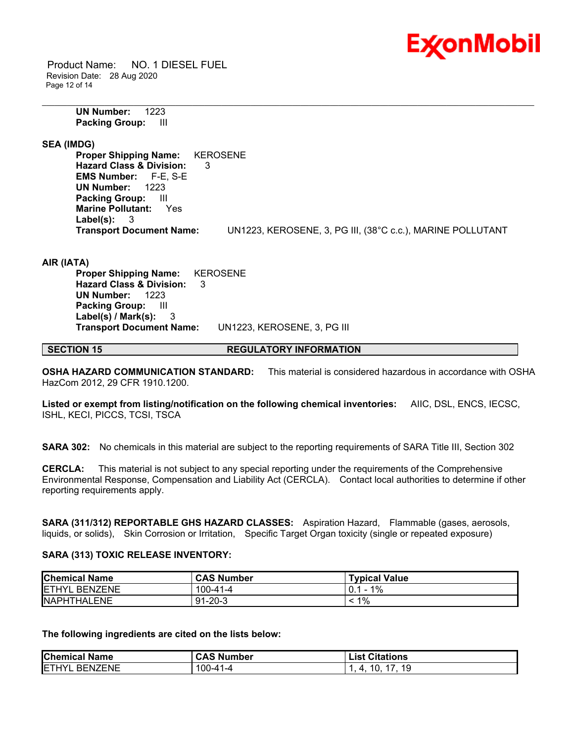

 Product Name: NO. 1 DIESEL FUEL Revision Date: 28 Aug 2020 Page 12 of 14

> **UN Number:** 1223 **Packing Group:** III

**SEA (IMDG)**

**Proper Shipping Name:** KEROSENE **Hazard Class & Division:** 3 **EMS Number:** F-E, S-E **UN Number:** 1223 **Packing Group:** III **Marine Pollutant:** Yes **Label(s):** 3 **Transport Document Name:** UN1223, KEROSENE, 3, PG III, (38°C c.c.), MARINE POLLUTANT

\_\_\_\_\_\_\_\_\_\_\_\_\_\_\_\_\_\_\_\_\_\_\_\_\_\_\_\_\_\_\_\_\_\_\_\_\_\_\_\_\_\_\_\_\_\_\_\_\_\_\_\_\_\_\_\_\_\_\_\_\_\_\_\_\_\_\_\_\_\_\_\_\_\_\_\_\_\_\_\_\_\_\_\_\_\_\_\_\_\_\_\_\_\_\_\_\_\_\_\_\_\_\_\_\_\_\_\_\_\_\_\_\_\_\_\_\_\_

**AIR (IATA)**

**Proper Shipping Name:** KEROSENE **Hazard Class & Division:** 3 **UN Number:** 1223 **Packing Group:** III **Label(s) / Mark(s):** 3 **Transport Document Name:** UN1223, KEROSENE, 3, PG III

**SECTION 15 REGULATORY INFORMATION** 

**OSHA HAZARD COMMUNICATION STANDARD:** This material is considered hazardous in accordance with OSHA HazCom 2012, 29 CFR 1910.1200.

**Listed or exempt from listing/notification on the following chemical inventories:** AIIC, DSL, ENCS, IECSC, ISHL, KECI, PICCS, TCSI, TSCA

**SARA 302:** No chemicals in this material are subject to the reporting requirements of SARA Title III, Section 302

**CERCLA:** This material is not subject to any special reporting under the requirements of the Comprehensive Environmental Response, Compensation and Liability Act (CERCLA). Contact local authorities to determine if other reporting requirements apply.

**SARA (311/312) REPORTABLE GHS HAZARD CLASSES:** Aspiration Hazard, Flammable (gases, aerosols, liquids, or solids), Skin Corrosion or Irritation, Specific Target Organ toxicity (single or repeated exposure)

# **SARA (313) TOXIC RELEASE INVENTORY:**

| <b>Chemical Name</b>  | <b>CAS Number</b> | <b>Typical Value</b> |
|-----------------------|-------------------|----------------------|
| <b>IETHYL BENZENE</b> | $100 - 41 - 4$    | $1\%$                |
| <b>INAPHTHALENE</b>   | $91 - 20 - 3$     | 1%                   |

**The following ingredients are cited on the lists below:**

| <b>Chemical Name</b>          | CAS<br>Number | <b>Citations</b><br>∟ist |
|-------------------------------|---------------|--------------------------|
| IETH<br>IVI<br><b>BENZENE</b> | 100-41        | 1 C<br>4 O<br>'∪         |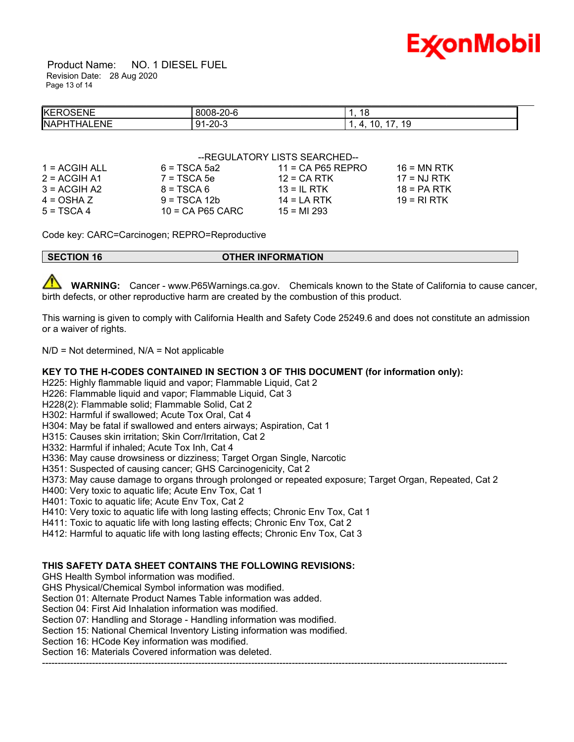

 Product Name: NO. 1 DIESEL FUEL Revision Date: 28 Aug 2020 Page 13 of 14

| <b>KEROSENE</b>            | $\sim$ $\sim$<br>8008-20-6 | 18                     |
|----------------------------|----------------------------|------------------------|
| ALENE<br><b>NAPH</b><br>ΉΔ | 91-20-3                    | 1 C<br>. .<br>œ<br>. . |

### -- REGULATORY LISTS SEARCHED--

| $6 = TSCA$ 5a2     | $11 = CA$ P65 REPRO | $16$ = MN RTK |
|--------------------|---------------------|---------------|
| $7 = TSCA5e$       |                     | $17 = NJ RTK$ |
| $8 = TSCA6$        | $13 = IL$ RTK       | $18 = PA RTK$ |
| $9 = TSCA 12b$     | $14 = LA RTK$       | 19 = RI RTK   |
| $10 = CA$ P65 CARC | $15 = M1 293$       |               |
|                    |                     | $12$ = CA RTK |

Code key: CARC=Carcinogen; REPRO=Reproductive

**SECTION 16 OTHER INFORMATION** 

 **WARNING:** Cancer - www.P65Warnings.ca.gov. Chemicals known to the State of California to cause cancer, birth defects, or other reproductive harm are created by the combustion of this product.

This warning is given to comply with California Health and Safety Code 25249.6 and does not constitute an admission or a waiver of rights.

 $N/D = Not determined$ ,  $N/A = Not applicable$ 

# **KEY TO THE H-CODES CONTAINED IN SECTION 3 OF THIS DOCUMENT (for information only):**

H225: Highly flammable liquid and vapor; Flammable Liquid, Cat 2

H226: Flammable liquid and vapor: Flammable Liquid, Cat 3

H228(2): Flammable solid; Flammable Solid, Cat 2

H302: Harmful if swallowed; Acute Tox Oral, Cat 4

H304: May be fatal if swallowed and enters airways; Aspiration, Cat 1

H315: Causes skin irritation; Skin Corr/Irritation, Cat 2

H332: Harmful if inhaled; Acute Tox Inh, Cat 4

H336: May cause drowsiness or dizziness; Target Organ Single, Narcotic

H351: Suspected of causing cancer; GHS Carcinogenicity, Cat 2

H373: May cause damage to organs through prolonged or repeated exposure; Target Organ, Repeated, Cat 2

-----------------------------------------------------------------------------------------------------------------------------------------------------

H400: Very toxic to aquatic life; Acute Env Tox, Cat 1

H401: Toxic to aquatic life; Acute Env Tox, Cat 2

H410: Very toxic to aquatic life with long lasting effects; Chronic Env Tox, Cat 1

H411: Toxic to aquatic life with long lasting effects; Chronic Env Tox, Cat 2

H412: Harmful to aquatic life with long lasting effects; Chronic Env Tox, Cat 3

# **THIS SAFETY DATA SHEET CONTAINS THE FOLLOWING REVISIONS:**

GHS Health Symbol information was modified.

GHS Physical/Chemical Symbol information was modified.

Section 01: Alternate Product Names Table information was added.

Section 04: First Aid Inhalation information was modified.

Section 07: Handling and Storage - Handling information was modified.

Section 15: National Chemical Inventory Listing information was modified.

Section 16: HCode Key information was modified.

Section 16: Materials Covered information was deleted.